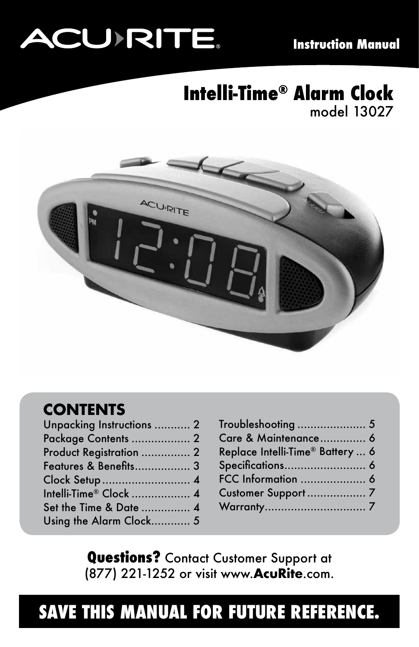# **ACU RITE.**

#### **Intelli-Time® Alarm Clock** model 13027



#### **CONTENTS**

| Unpacking Instructions  2        |  |
|----------------------------------|--|
| Package Contents  2              |  |
| Product Registration  2          |  |
| <b>Features &amp; Benefits 3</b> |  |
|                                  |  |
| Intelli-Time® Clock  4           |  |
| Set the Time & Date  4           |  |
| Using the Alarm Clock 5          |  |
|                                  |  |

| Troubleshooting  5               |  |
|----------------------------------|--|
| Care & Maintenance 6             |  |
| Replace Intelli-Time® Battery  6 |  |
|                                  |  |
|                                  |  |
|                                  |  |
|                                  |  |

**Questions?** Contact Customer Support at (877) 221-1252 or visit www.**AcuRite**.com.

# **SAVE THIS MANUAL FOR FUTURE REFERENCE.**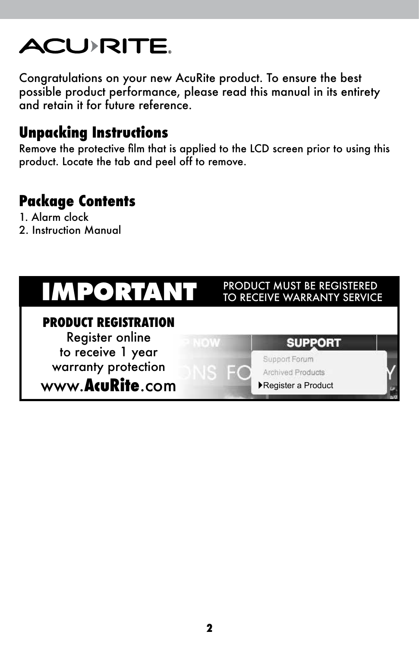# **ACU>RITE.**

Congratulations on your new AcuRite product. To ensure the best possible product performance, please read this manual in its entirety and retain it for future reference.

#### **Unpacking Instructions**

Remove the protective film that is applied to the LCD screen prior to using this product. Locate the tab and peel off to remove.

#### **Package Contents**

- 1. Alarm clock
- 2. Instruction Manual

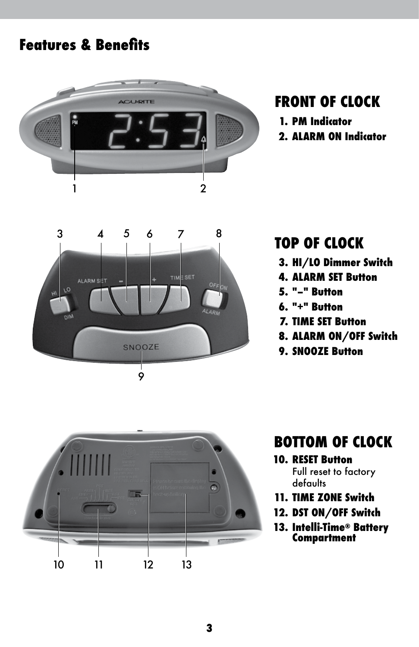#### **Features & Benefits**



#### **FRONT OF CLOCK**

- **1. PM Indicator**
- **2. ALARM ON Indicator**



#### **TOP OF CLOCK**

- **3. HI/LO Dimmer Switch**
- **4. ALARM SET Button**
- **5. "–" Button**
- **6. "+" Button**
- **7. TIME SET Button**
- **8. ALARM ON/OFF Switch**
- **9. SNOOZE Button**



#### **BOTTOM OF CLOCK**

#### **10. RESET Button**

 Full reset to factory defaults

- **11. TIME ZONE Switch**
- **12. DST ON/OFF Switch**
- **13. Intelli-Time® Battery Compartment**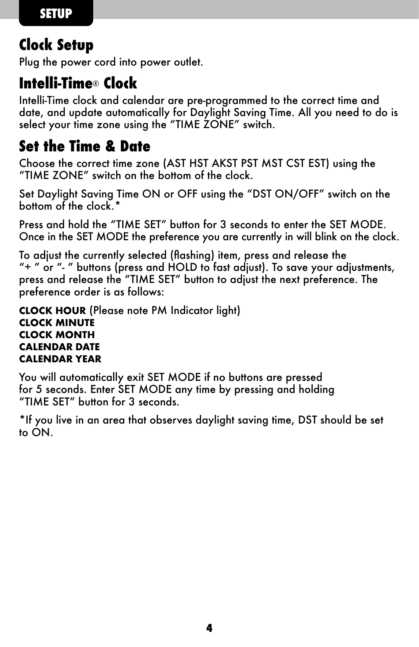#### **Clock Setup**

Plug the power cord into power outlet.

#### **Intelli-Time**® **Clock**

Intelli-Time clock and calendar are pre-programmed to the correct time and date, and update automatically for Daylight Saving Time. All you need to do is select your time zone using the "TIME ZONE" switch.

#### **Set the Time & Date**

Choose the correct time zone (AST HST AKST PST MST CST EST) using the "TIME ZONE" switch on the bottom of the clock.

Set Daylight Saving Time ON or OFF using the "DST ON/OFF" switch on the bottom of the clock.\*

Press and hold the "TIME SET" button for 3 seconds to enter the SET MODE. Once in the SET MODE the preference you are currently in will blink on the clock.

To adjust the currently selected (flashing) item, press and release the "+ " or "- " buttons (press and HOLD to fast adjust). To save your adjustments, press and release the "TIME SET" button to adjust the next preference. The preference order is as follows:

**CLOCK HOUR** (Please note PM Indicator light) **CLOCK MINUTE CLOCK MONTH CALENDAR DATE CALENDAR YEAR**

You will automatically exit SET MODE if no buttons are pressed for 5 seconds. Enter SET MODE any time by pressing and holding "TIME SET" button for 3 seconds.

\*If you live in an area that observes daylight saving time, DST should be set to ON.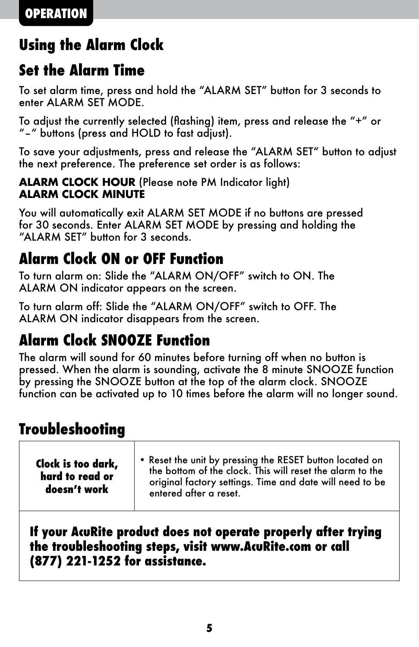#### **Using the Alarm Clock**

#### **Set the Alarm Time**

To set alarm time, press and hold the "ALARM SET" button for 3 seconds to enter ALARM SET MODE.

To adjust the currently selected (flashing) item, press and release the "+" or "–" buttons (press and HOLD to fast adjust).

To save your adjustments, press and release the "ALARM SET" button to adjust the next preference. The preference set order is as follows:

#### **ALARM CLOCK HOUR** (Please note PM Indicator light) **ALARM CLOCK MINUTE**

You will automatically exit ALARM SET MODE if no buttons are pressed for 30 seconds. Enter ALARM SET MODE by pressing and holding the "ALARM SET" button for 3 seconds.

#### **Alarm Clock ON or OFF Function**

To turn alarm on: Slide the "ALARM ON/OFF" switch to ON. The ALARM ON indicator appears on the screen.

To turn alarm off: Slide the "ALARM ON/OFF" switch to OFF. The ALARM ON indicator disappears from the screen.

#### **Alarm Clock SNOOZE Function**

The alarm will sound for 60 minutes before turning off when no button is pressed. When the alarm is sounding, activate the 8 minute SNOOZE function by pressing the SNOOZE button at the top of the alarm clock. SNOOZE function can be activated up to 10 times before the alarm will no longer sound.

#### **Troubleshooting**

| Clock is too dark,<br>hard to read or<br>doesn't work | . Reset the unit by pressing the RESET button located on<br>the bottom of the clock. This will reset the alarm to the<br>original factory settings. Time and date will need to be<br>entered after a reset. |
|-------------------------------------------------------|-------------------------------------------------------------------------------------------------------------------------------------------------------------------------------------------------------------|
|-------------------------------------------------------|-------------------------------------------------------------------------------------------------------------------------------------------------------------------------------------------------------------|

#### **If your AcuRite product does not operate properly after trying the troubleshooting steps, visit www.AcuRite.com or call (877) 221-1252 for assistance.**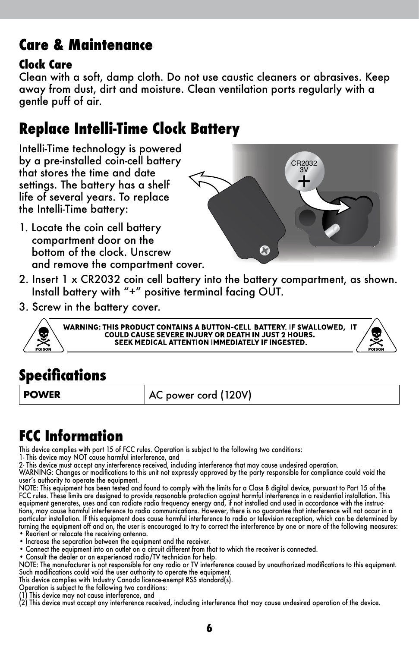#### **Care & Maintenance**

#### **Clock Care**

Clean with a soft, damp cloth. Do not use caustic cleaners or abrasives. Keep away from dust, dirt and moisture. Clean ventilation ports regularly with a gentle puff of air.

#### **Replace Intelli-Time Clock Battery**

Intelli-Time technology is powered by a pre-installed coin-cell battery that stores the time and date settings. The battery has a shelf life of several years. To replace the Intelli-Time battery:

1. Locate the coin cell battery compartment door on the bottom of the clock. Unscrew and remove the compartment cover.



- 2. Insert 1 x CR2032 coin cell battery into the battery compartment, as shown. Install battery with "+" positive terminal facing OUT.
- 3. Screw in the battery cover.



WARNING: THIS PRODUCT CONTAINS A BUTTON-CELL BATTERY. IF SWALLOWED, IT COULD CAUSE SEVERE INJURY OR DEATH IN JUST 2 HOURS. SEEK MEDICAL ATTENTION IMMEDIATELY IF INGESTED.

#### **Specifications**

**POWER** AC power cord (120V)

#### **FCC Information**

This device complies with part 15 of FCC rules. Operation is subject to the following two conditions:

1- This device may NOT cause harmtul interterence, and<br>2- This device must accept any interference received, including interference that may cause undesired operation.<br>WARNING: Changes or modifications to this unit not exp

user's authority to operate the equipment.

NOIE: This equipment has been tested and tound to comply with the limits tor a Class B digital device, pursuant to Part 15 ot the<br>FCC rules. These limits are designed to provide reasonable protection against harmful interf tions, may cause harmtul interterence to radio communications. However, there is no guarantee that interterence will not occur in a<br>particular installation. If this equipment does cause harmful interference to radio or tel turning the equipment off and on, the user is encouraged to try to correct the interference by one or more of the following measures: • Reorient or relocate the receiving antenna.

- 
- Increase the separation between the equipment and the receiver.
- Connect the equipment into an outlet on a circuit different from that to which the receiver is connected.
- 
- Consult the dealer or an experienced radio/IV technician tor help.<br>NOTE: The manufacturer is not responsible for any radio or TV interference caused by unauthorized modifications to this equipment.<br>Such modifications cou
- This device complies with Industry Canada licence-exempt RSS standard(s). Operation is subject to the following two conditions:
- 
- This device may not cause interference, and

(2) This device must accept any interference received, including interference that may cause undesired operation of the device.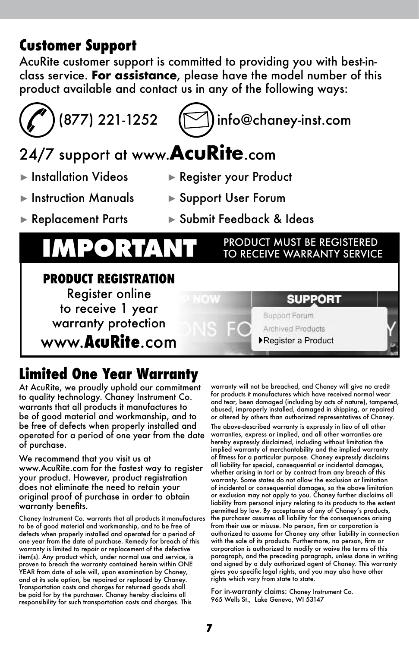#### **Customer Support**

AcuRite customer support is committed to providing you with best-inclass service. **For assistance**, please have the model number of this product available and contact us in any of the following ways:



# $(877)$  221-1252  $\sqrt{1}$ info@chaney-inst.com

## 24/7 support at www.**AcuRite**.com

- 
- ► Installation Videos ► Register your Product
- ► Instruction Manuals ► Support User Forum
- ► Replacement Parts ► Submit Feedback & Ideas

# **IMPORTANT PRODUCT MUST BE REGISTERED**

#### **PRODUCT REGISTRATION** Register online SUPPORT to receive 1 year Support Forum warranty protection Archived Products www.**AcuRite**.com ►Register a Product

#### **Limited One Year Warranty**

At AcuRite, we proudly uphold our commitment to quality technology. Chaney Instrument Co. warrants that all products it manufactures to be of good material and workmanship, and to be free of defects when properly installed and operated for a period of one year from the date of purchase.

We recommend that you visit us at www.AcuRite.com for the fastest way to register your product. However, product registration does not eliminate the need to retain your original proof of purchase in order to obtain warranty benefits.

Chaney Instrument Co. warrants that all products it manufactures to be of good material and workmanship, and to be free of defects when properly installed and operated for a period of one year from the date of purchase. Remedy for breach of this warranty is limited to repair or replacement of the defective item(s). Any product which, under normal use and service, is proven to breach the warranty contained herein within ONE YEAR from date of sale will, upon examination by Chaney, and at its sole option, be repaired or replaced by Chaney. Transportation costs and charges for returned goods shall be paid for by the purchaser. Chaney hereby disclaims all responsibility for such transportation costs and charges. This

warranty will not be breached, and Chaney will give no credit for products it manufactures which have received normal wear and tear, been damaged (including by acts of nature), tampered, abused, improperly installed, damaged in shipping, or repaired or altered by others than authorized representatives of Chaney. The above-described warranty is expressly in lieu of all other warranties, express or implied, and all other warranties are hereby expressly disclaimed, including without limitation the implied warranty of merchantability and the implied warranty of fitness for a particular purpose. Chaney expressly disclaims all liability for special, consequential or incidental damages, whether arising in tort or by contract from any breach of this warranty. Some states do not allow the exclusion or limitation of incidental or consequential damages, so the above limitation or exclusion may not apply to you. Chaney further disclaims all liability from personal injury relating to its products to the extent permitted by law. By acceptance of any of Chaney's products, the purchaser assumes all liability for the consequences arising from their use or misuse. No person, firm or corporation is authorized to assume for Chaney any other liability in connection with the sale of its products. Furthermore, no person, firm or corporation is authorized to modify or waive the terms of this paragraph, and the preceding paragraph, unless done in writing and signed by a duly authorized agent of Chaney. This warranty gives you specific legal rights, and you may also have other rights which vary from state to state.

For in-warranty claims: Chaney Instrument Co. 965 Wells St., Lake Geneva, WI 53147